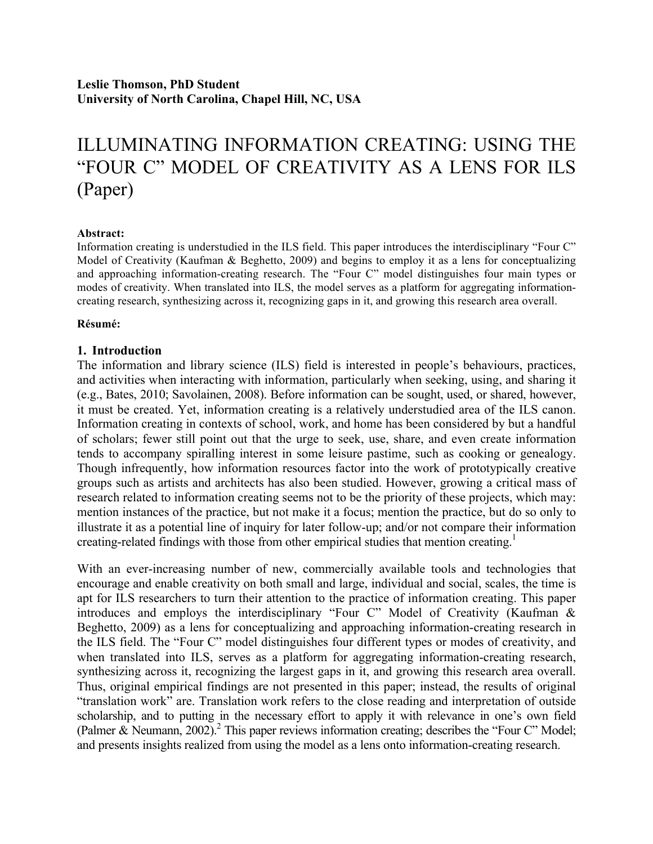# ILLUMINATING INFORMATION CREATING: USING THE "FOUR C" MODEL OF CREATIVITY AS A LENS FOR ILS (Paper)

#### **Abstract:**

Information creating is understudied in the ILS field. This paper introduces the interdisciplinary "Four C" Model of Creativity (Kaufman & Beghetto, 2009) and begins to employ it as a lens for conceptualizing and approaching information-creating research. The "Four C" model distinguishes four main types or modes of creativity. When translated into ILS, the model serves as a platform for aggregating informationcreating research, synthesizing across it, recognizing gaps in it, and growing this research area overall.

#### **Résumé:**

### **1. Introduction**

The information and library science (ILS) field is interested in people's behaviours, practices, and activities when interacting with information, particularly when seeking, using, and sharing it (e.g., Bates, 2010; Savolainen, 2008). Before information can be sought, used, or shared, however, it must be created. Yet, information creating is a relatively understudied area of the ILS canon. Information creating in contexts of school, work, and home has been considered by but a handful of scholars; fewer still point out that the urge to seek, use, share, and even create information tends to accompany spiralling interest in some leisure pastime, such as cooking or genealogy. Though infrequently, how information resources factor into the work of prototypically creative groups such as artists and architects has also been studied. However, growing a critical mass of research related to information creating seems not to be the priority of these projects, which may: mention instances of the practice, but not make it a focus; mention the practice, but do so only to illustrate it as a potential line of inquiry for later follow-up; and/or not compare their information creating-related findings with those from other empirical studies that mention creating. 1

With an ever-increasing number of new, commercially available tools and technologies that encourage and enable creativity on both small and large, individual and social, scales, the time is apt for ILS researchers to turn their attention to the practice of information creating. This paper introduces and employs the interdisciplinary "Four C" Model of Creativity (Kaufman & Beghetto, 2009) as a lens for conceptualizing and approaching information-creating research in the ILS field. The "Four C" model distinguishes four different types or modes of creativity, and when translated into ILS, serves as a platform for aggregating information-creating research, synthesizing across it, recognizing the largest gaps in it, and growing this research area overall. Thus, original empirical findings are not presented in this paper; instead, the results of original "translation work" are. Translation work refers to the close reading and interpretation of outside scholarship, and to putting in the necessary effort to apply it with relevance in one's own field (Palmer & Neumann, 2002).<sup>2</sup> This paper reviews information creating; describes the "Four C" Model; and presents insights realized from using the model as a lens onto information-creating research.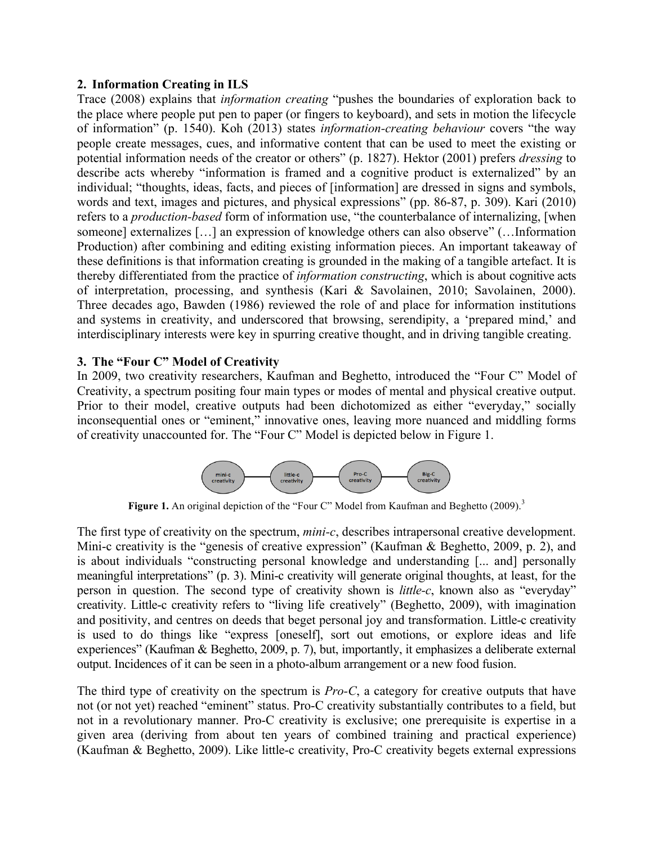## **2. Information Creating in ILS**

Trace (2008) explains that *information creating* "pushes the boundaries of exploration back to the place where people put pen to paper (or fingers to keyboard), and sets in motion the lifecycle of information" (p. 1540). Koh (2013) states *information-creating behaviour* covers "the way people create messages, cues, and informative content that can be used to meet the existing or potential information needs of the creator or others" (p. 1827). Hektor (2001) prefers *dressing* to describe acts whereby "information is framed and a cognitive product is externalized" by an individual; "thoughts, ideas, facts, and pieces of [information] are dressed in signs and symbols, words and text, images and pictures, and physical expressions" (pp. 86-87, p. 309). Kari (2010) refers to a *production-based* form of information use, "the counterbalance of internalizing, [when someone] externalizes […] an expression of knowledge others can also observe" (…Information Production) after combining and editing existing information pieces. An important takeaway of these definitions is that information creating is grounded in the making of a tangible artefact. It is thereby differentiated from the practice of *information constructing*, which is about cognitive acts of interpretation, processing, and synthesis (Kari & Savolainen, 2010; Savolainen, 2000). Three decades ago, Bawden (1986) reviewed the role of and place for information institutions and systems in creativity, and underscored that browsing, serendipity, a 'prepared mind,' and interdisciplinary interests were key in spurring creative thought, and in driving tangible creating.

# **3. The "Four C" Model of Creativity**

In 2009, two creativity researchers, Kaufman and Beghetto, introduced the "Four C" Model of Creativity, a spectrum positing four main types or modes of mental and physical creative output. Prior to their model, creative outputs had been dichotomized as either "everyday," socially inconsequential ones or "eminent," innovative ones, leaving more nuanced and middling forms of creativity unaccounted for. The "Four C" Model is depicted below in Figure 1.



Figure 1. An original depiction of the "Four C" Model from Kaufman and Beghetto (2009).<sup>3</sup>

The first type of creativity on the spectrum, *mini-c*, describes intrapersonal creative development. Mini-c creativity is the "genesis of creative expression" (Kaufman & Beghetto, 2009, p. 2), and is about individuals "constructing personal knowledge and understanding [... and] personally meaningful interpretations" (p. 3). Mini-c creativity will generate original thoughts, at least, for the person in question. The second type of creativity shown is *little-c*, known also as "everyday" creativity. Little-c creativity refers to "living life creatively" (Beghetto, 2009), with imagination and positivity, and centres on deeds that beget personal joy and transformation. Little-c creativity is used to do things like "express [oneself], sort out emotions, or explore ideas and life experiences" (Kaufman & Beghetto, 2009, p. 7), but, importantly, it emphasizes a deliberate external output. Incidences of it can be seen in a photo-album arrangement or a new food fusion.

The third type of creativity on the spectrum is *Pro-C*, a category for creative outputs that have not (or not yet) reached "eminent" status. Pro-C creativity substantially contributes to a field, but not in a revolutionary manner. Pro-C creativity is exclusive; one prerequisite is expertise in a given area (deriving from about ten years of combined training and practical experience) (Kaufman & Beghetto, 2009). Like little-c creativity, Pro-C creativity begets external expressions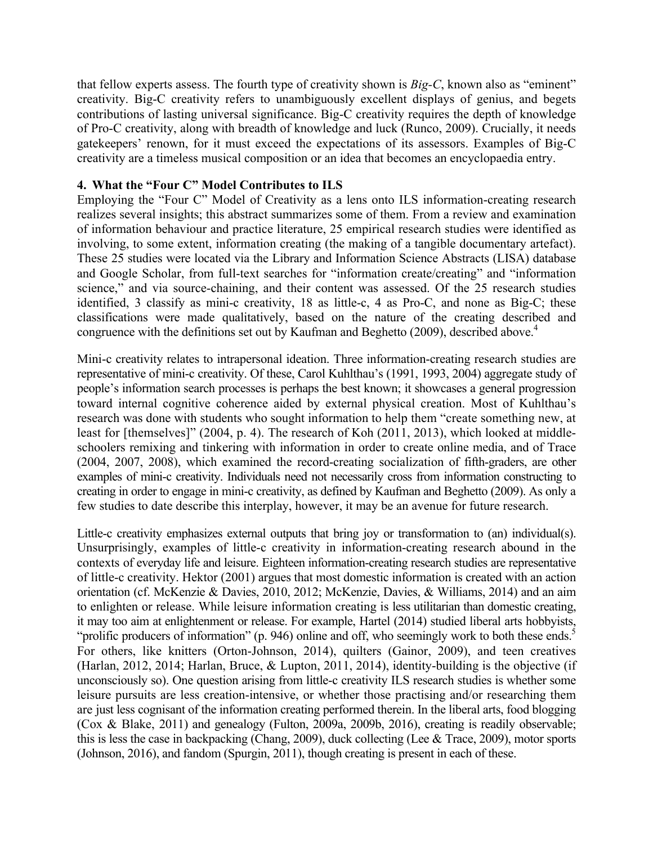that fellow experts assess. The fourth type of creativity shown is *Big-C*, known also as "eminent" creativity. Big-C creativity refers to unambiguously excellent displays of genius, and begets contributions of lasting universal significance. Big-C creativity requires the depth of knowledge of Pro-C creativity, along with breadth of knowledge and luck (Runco, 2009). Crucially, it needs gatekeepers' renown, for it must exceed the expectations of its assessors. Examples of Big-C creativity are a timeless musical composition or an idea that becomes an encyclopaedia entry.

## **4. What the "Four C" Model Contributes to ILS**

Employing the "Four C" Model of Creativity as a lens onto ILS information-creating research realizes several insights; this abstract summarizes some of them. From a review and examination of information behaviour and practice literature, 25 empirical research studies were identified as involving, to some extent, information creating (the making of a tangible documentary artefact). These 25 studies were located via the Library and Information Science Abstracts (LISA) database and Google Scholar, from full-text searches for "information create/creating" and "information science," and via source-chaining, and their content was assessed. Of the 25 research studies identified, 3 classify as mini-c creativity, 18 as little-c, 4 as Pro-C, and none as Big-C; these classifications were made qualitatively, based on the nature of the creating described and congruence with the definitions set out by Kaufman and Beghetto (2009), described above. 4

Mini-c creativity relates to intrapersonal ideation. Three information-creating research studies are representative of mini-c creativity. Of these, Carol Kuhlthau's (1991, 1993, 2004) aggregate study of people's information search processes is perhaps the best known; it showcases a general progression toward internal cognitive coherence aided by external physical creation. Most of Kuhlthau's research was done with students who sought information to help them "create something new, at least for [themselves]" (2004, p. 4). The research of Koh (2011, 2013), which looked at middleschoolers remixing and tinkering with information in order to create online media, and of Trace (2004, 2007, 2008), which examined the record-creating socialization of fifth-graders, are other examples of mini-c creativity. Individuals need not necessarily cross from information constructing to creating in order to engage in mini-c creativity, as defined by Kaufman and Beghetto (2009). As only a few studies to date describe this interplay, however, it may be an avenue for future research.

Little-c creativity emphasizes external outputs that bring joy or transformation to (an) individual(s). Unsurprisingly, examples of little-c creativity in information-creating research abound in the contexts of everyday life and leisure. Eighteen information-creating research studies are representative of little-c creativity. Hektor (2001) argues that most domestic information is created with an action orientation (cf. McKenzie & Davies, 2010, 2012; McKenzie, Davies, & Williams, 2014) and an aim to enlighten or release. While leisure information creating is less utilitarian than domestic creating, it may too aim at enlightenment or release. For example, Hartel (2014) studied liberal arts hobbyists, "prolific producers of information" (p. 946) online and off, who seemingly work to both these ends.<sup>5</sup> For others, like knitters (Orton-Johnson, 2014), quilters (Gainor, 2009), and teen creatives (Harlan, 2012, 2014; Harlan, Bruce, & Lupton, 2011, 2014), identity-building is the objective (if unconsciously so). One question arising from little-c creativity ILS research studies is whether some leisure pursuits are less creation-intensive, or whether those practising and/or researching them are just less cognisant of the information creating performed therein. In the liberal arts, food blogging (Cox & Blake, 2011) and genealogy (Fulton, 2009a, 2009b, 2016), creating is readily observable; this is less the case in backpacking (Chang, 2009), duck collecting (Lee & Trace, 2009), motor sports (Johnson, 2016), and fandom (Spurgin, 2011), though creating is present in each of these.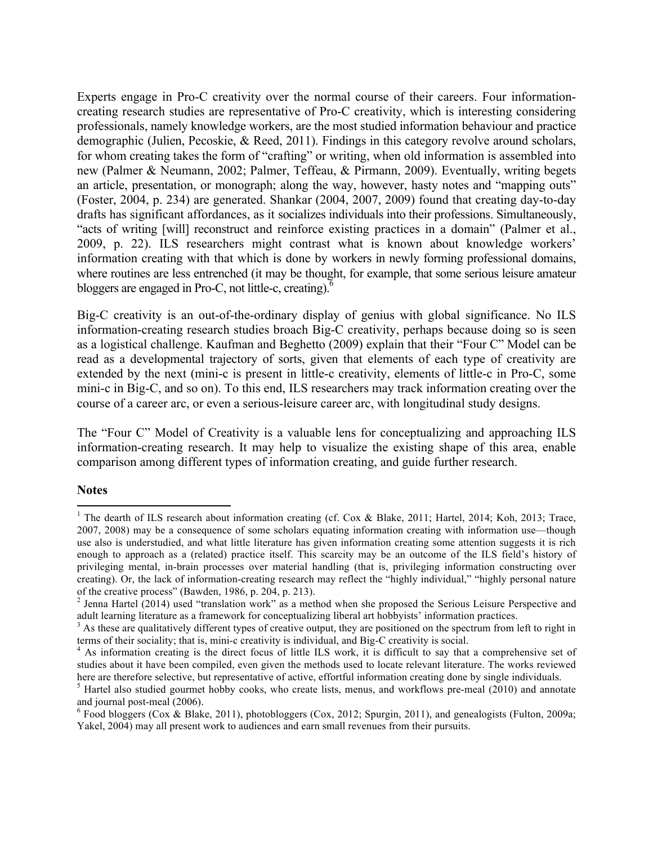Experts engage in Pro-C creativity over the normal course of their careers. Four informationcreating research studies are representative of Pro-C creativity, which is interesting considering professionals, namely knowledge workers, are the most studied information behaviour and practice demographic (Julien, Pecoskie, & Reed, 2011). Findings in this category revolve around scholars, for whom creating takes the form of "crafting" or writing, when old information is assembled into new (Palmer & Neumann, 2002; Palmer, Teffeau, & Pirmann, 2009). Eventually, writing begets an article, presentation, or monograph; along the way, however, hasty notes and "mapping outs" (Foster, 2004, p. 234) are generated. Shankar (2004, 2007, 2009) found that creating day-to-day drafts has significant affordances, as it socializes individuals into their professions. Simultaneously, "acts of writing [will] reconstruct and reinforce existing practices in a domain" (Palmer et al., 2009, p. 22). ILS researchers might contrast what is known about knowledge workers' information creating with that which is done by workers in newly forming professional domains, where routines are less entrenched (it may be thought, for example, that some serious leisure amateur bloggers are engaged in Pro-C, not little-c, creating).

Big-C creativity is an out-of-the-ordinary display of genius with global significance. No ILS information-creating research studies broach Big-C creativity, perhaps because doing so is seen as a logistical challenge. Kaufman and Beghetto (2009) explain that their "Four C" Model can be read as a developmental trajectory of sorts, given that elements of each type of creativity are extended by the next (mini-c is present in little-c creativity, elements of little-c in Pro-C, some mini-c in Big-C, and so on). To this end, ILS researchers may track information creating over the course of a career arc, or even a serious-leisure career arc, with longitudinal study designs.

The "Four C" Model of Creativity is a valuable lens for conceptualizing and approaching ILS information-creating research. It may help to visualize the existing shape of this area, enable comparison among different types of information creating, and guide further research.

#### **Notes**

 

<sup>&</sup>lt;sup>1</sup> The dearth of ILS research about information creating (cf. Cox & Blake, 2011; Hartel, 2014; Koh, 2013; Trace, 2007, 2008) may be a consequence of some scholars equating information creating with information use—though use also is understudied, and what little literature has given information creating some attention suggests it is rich enough to approach as a (related) practice itself. This scarcity may be an outcome of the ILS field's history of privileging mental, in-brain processes over material handling (that is, privileging information constructing over creating). Or, the lack of information-creating research may reflect the "highly individual," "highly personal nature of the creative process" (Bawden, 1986, p. 204, p. 213).

 $2$  Jenna Hartel (2014) used "translation work" as a method when she proposed the Serious Leisure Perspective and adult learning literature as a framework for conceptualizing liberal art hobbyists' information practices.

 $3$  As these are qualitatively different types of creative output, they are positioned on the spectrum from left to right in terms of their sociality; that is, mini-c creativity is individual, and Big-C creativity is soci

<sup>&</sup>lt;sup>4</sup> As information creating is the direct focus of little ILS work, it is difficult to say that a comprehensive set of studies about it have been compiled, even given the methods used to locate relevant literature. The works reviewed here are therefore selective, but representative of active, effortful information creating done by single individuals.<br><sup>5</sup> Hartel also studied gourmet hobby cooks, who create lists, menus, and workflows pre-meal (2010) and

and journal post-meal (2006).<br><sup>6</sup> Food bloggers (Cox & Blake, 2011), photobloggers (Cox, 2012; Spurgin, 2011), and genealogists (Fulton, 2009a;

Yakel, 2004) may all present work to audiences and earn small revenues from their pursuits.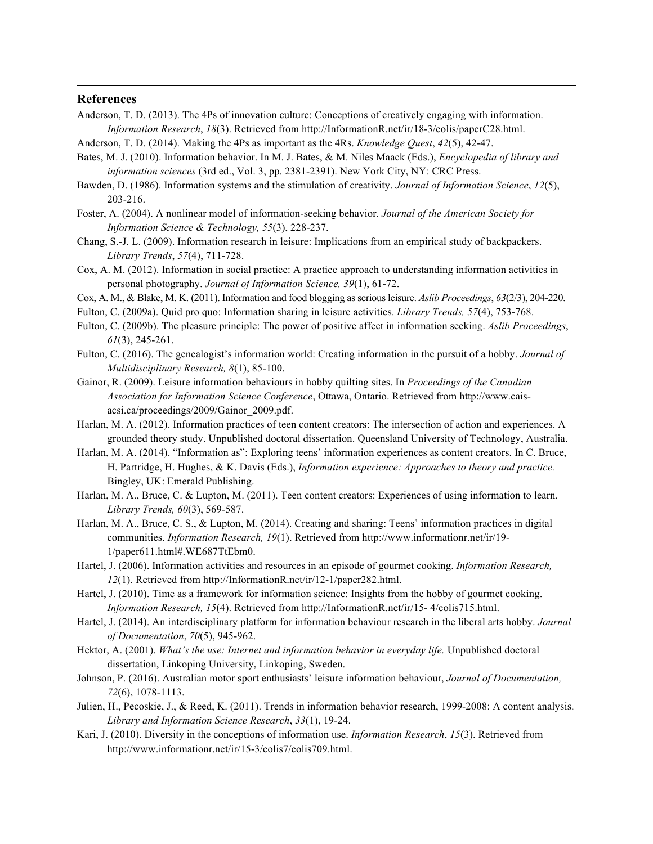#### **References**

Anderson, T. D. (2013). The 4Ps of innovation culture: Conceptions of creatively engaging with information. *Information Research*, *18*(3). Retrieved from http://InformationR.net/ir/18-3/colis/paperC28.html.

<u> 1989 - Andrea Santa Andrea Andrea Andrea Andrea Andrea Andrea Andrea Andrea Andrea Andrea Andrea Andrea Andr</u>

- Anderson, T. D. (2014). Making the 4Ps as important as the 4Rs. *Knowledge Quest*, *42*(5), 42-47.
- Bates, M. J. (2010). Information behavior. In M. J. Bates, & M. Niles Maack (Eds.), *Encyclopedia of library and information sciences* (3rd ed., Vol. 3, pp. 2381-2391). New York City, NY: CRC Press.
- Bawden, D. (1986). Information systems and the stimulation of creativity. *Journal of Information Science*, *12*(5), 203-216.
- Foster, A. (2004). A nonlinear model of information-seeking behavior. *Journal of the American Society for Information Science & Technology, 55*(3), 228-237.
- Chang, S.-J. L. (2009). Information research in leisure: Implications from an empirical study of backpackers. *Library Trends*, *57*(4), 711-728.
- Cox, A. M. (2012). Information in social practice: A practice approach to understanding information activities in personal photography. *Journal of Information Science, 39*(1), 61-72.
- Cox, A. M., & Blake, M. K. (2011). Information and food blogging as serious leisure. *Aslib Proceedings*, *63*(2/3), 204-220.
- Fulton, C. (2009a). Quid pro quo: Information sharing in leisure activities. *Library Trends, 57*(4), 753-768.
- Fulton, C. (2009b). The pleasure principle: The power of positive affect in information seeking. *Aslib Proceedings*, *61*(3), 245-261.
- Fulton, C. (2016). The genealogist's information world: Creating information in the pursuit of a hobby. *Journal of Multidisciplinary Research, 8*(1), 85-100.
- Gainor, R. (2009). Leisure information behaviours in hobby quilting sites. In *Proceedings of the Canadian Association for Information Science Conference*, Ottawa, Ontario. Retrieved from http://www.caisacsi.ca/proceedings/2009/Gainor\_2009.pdf.
- Harlan, M. A. (2012). Information practices of teen content creators: The intersection of action and experiences. A grounded theory study. Unpublished doctoral dissertation. Queensland University of Technology, Australia.
- Harlan, M. A. (2014). "Information as": Exploring teens' information experiences as content creators. In C. Bruce, H. Partridge, H. Hughes, & K. Davis (Eds.), *Information experience: Approaches to theory and practice.*  Bingley, UK: Emerald Publishing.
- Harlan, M. A., Bruce, C. & Lupton, M. (2011). Teen content creators: Experiences of using information to learn. *Library Trends, 60*(3), 569-587.
- Harlan, M. A., Bruce, C. S., & Lupton, M. (2014). Creating and sharing: Teens' information practices in digital communities. *Information Research, 19*(1). Retrieved from http://www.informationr.net/ir/19- 1/paper611.html#.WE687TtEbm0.
- Hartel, J. (2006). Information activities and resources in an episode of gourmet cooking. *Information Research, 12*(1). Retrieved from http://InformationR.net/ir/12-1/paper282.html.
- Hartel, J. (2010). Time as a framework for information science: Insights from the hobby of gourmet cooking. *Information Research, 15*(4). Retrieved from http://InformationR.net/ir/15- 4/colis715.html.
- Hartel, J. (2014). An interdisciplinary platform for information behaviour research in the liberal arts hobby. *Journal of Documentation*, *70*(5), 945-962.
- Hektor, A. (2001). *What's the use: Internet and information behavior in everyday life.* Unpublished doctoral dissertation, Linkoping University, Linkoping, Sweden.
- Johnson, P. (2016). Australian motor sport enthusiasts' leisure information behaviour, *Journal of Documentation, 72*(6), 1078-1113.
- Julien, H., Pecoskie, J., & Reed, K. (2011). Trends in information behavior research, 1999-2008: A content analysis. *Library and Information Science Research*, *33*(1), 19-24.
- Kari, J. (2010). Diversity in the conceptions of information use. *Information Research*, *15*(3). Retrieved from http://www.informationr.net/ir/15-3/colis7/colis709.html.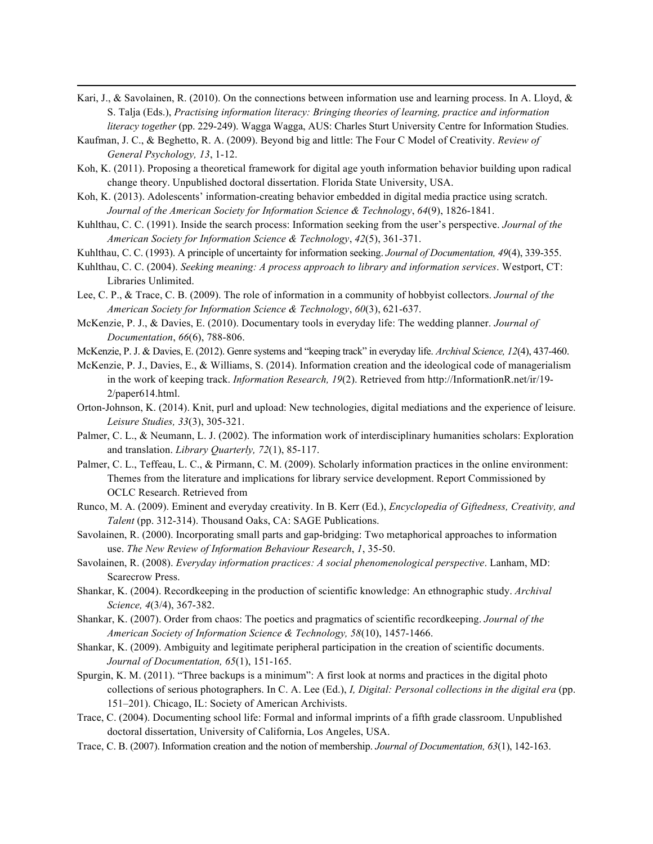Kari, J., & Savolainen, R. (2010). On the connections between information use and learning process. In A. Lloyd, & S. Talja (Eds.), *Practising information literacy: Bringing theories of learning, practice and information literacy together* (pp. 229-249). Wagga Wagga, AUS: Charles Sturt University Centre for Information Studies.

<u> 1989 - Andrea Santa Andrea Andrea Andrea Andrea Andrea Andrea Andrea Andrea Andrea Andrea Andrea Andrea Andr</u>

- Kaufman, J. C., & Beghetto, R. A. (2009). Beyond big and little: The Four C Model of Creativity. *Review of General Psychology, 13*, 1-12.
- Koh, K. (2011). Proposing a theoretical framework for digital age youth information behavior building upon radical change theory. Unpublished doctoral dissertation. Florida State University, USA.
- Koh, K. (2013). Adolescents' information-creating behavior embedded in digital media practice using scratch. *Journal of the American Society for Information Science & Technology*, *64*(9), 1826-1841.
- Kuhlthau, C. C. (1991). Inside the search process: Information seeking from the user's perspective. *Journal of the American Society for Information Science & Technology*, *42*(5), 361-371.
- Kuhlthau, C. C. (1993). A principle of uncertainty for information seeking. *Journal of Documentation, 49*(4), 339-355.
- Kuhlthau, C. C. (2004). *Seeking meaning: A process approach to library and information services*. Westport, CT: Libraries Unlimited.
- Lee, C. P., & Trace, C. B. (2009). The role of information in a community of hobbyist collectors. *Journal of the American Society for Information Science & Technology*, *60*(3), 621-637.
- McKenzie, P. J., & Davies, E. (2010). Documentary tools in everyday life: The wedding planner. *Journal of Documentation*, *66*(6), 788-806.
- McKenzie, P. J. & Davies, E. (2012). Genre systems and "keeping track" in everyday life. *Archival Science, 12*(4), 437-460.
- McKenzie, P. J., Davies, E., & Williams, S. (2014). Information creation and the ideological code of managerialism in the work of keeping track. *Information Research, 19*(2). Retrieved from http://InformationR.net/ir/19- 2/paper614.html.
- Orton-Johnson, K. (2014). Knit, purl and upload: New technologies, digital mediations and the experience of leisure. *Leisure Studies, 33*(3), 305-321.
- Palmer, C. L., & Neumann, L. J. (2002). The information work of interdisciplinary humanities scholars: Exploration and translation. *Library Quarterly, 72*(1), 85-117.
- Palmer, C. L., Teffeau, L. C., & Pirmann, C. M. (2009). Scholarly information practices in the online environment: Themes from the literature and implications for library service development. Report Commissioned by OCLC Research. Retrieved from
- Runco, M. A. (2009). Eminent and everyday creativity. In B. Kerr (Ed.), *Encyclopedia of Giftedness, Creativity, and Talent* (pp. 312-314). Thousand Oaks, CA: SAGE Publications.
- Savolainen, R. (2000). Incorporating small parts and gap-bridging: Two metaphorical approaches to information use. *The New Review of Information Behaviour Research*, *1*, 35-50.
- Savolainen, R. (2008). *Everyday information practices: A social phenomenological perspective*. Lanham, MD: Scarecrow Press.
- Shankar, K. (2004). Recordkeeping in the production of scientific knowledge: An ethnographic study. *Archival Science, 4*(3/4), 367-382.
- Shankar, K. (2007). Order from chaos: The poetics and pragmatics of scientific recordkeeping. *Journal of the American Society of Information Science & Technology, 58*(10), 1457-1466.
- Shankar, K. (2009). Ambiguity and legitimate peripheral participation in the creation of scientific documents. *Journal of Documentation, 65*(1), 151-165.
- Spurgin, K. M. (2011). "Three backups is a minimum": A first look at norms and practices in the digital photo collections of serious photographers. In C. A. Lee (Ed.), *I, Digital: Personal collections in the digital era* (pp. 151–201). Chicago, IL: Society of American Archivists.
- Trace, C. (2004). Documenting school life: Formal and informal imprints of a fifth grade classroom. Unpublished doctoral dissertation, University of California, Los Angeles, USA.
- Trace, C. B. (2007). Information creation and the notion of membership. *Journal of Documentation, 63*(1), 142-163.